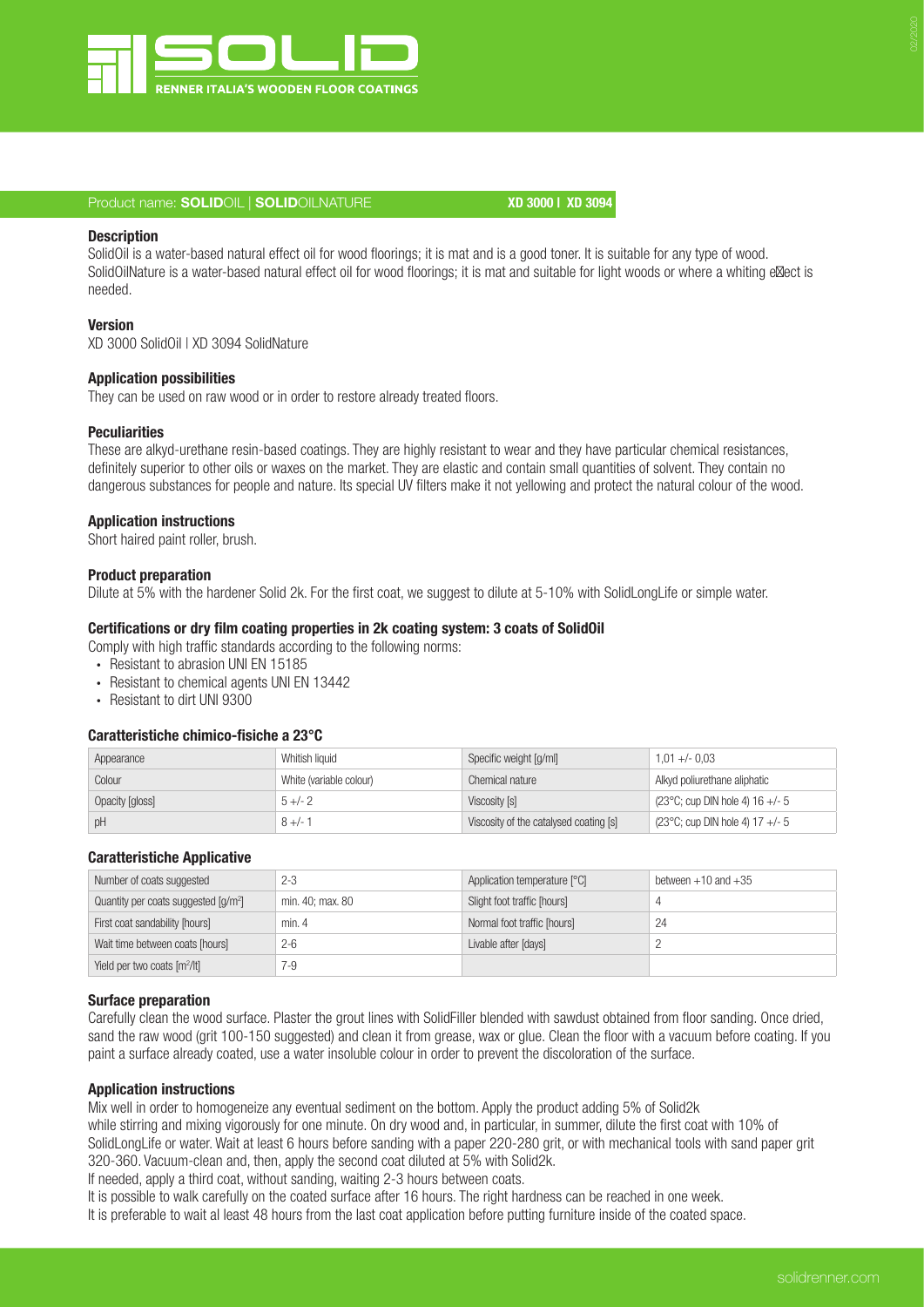

# Product name: SOLIDOIL | SOLIDOILNATURE XD 3000 | XD 3094

# **Description**

SolidOil is a water-based natural effect oil for wood floorings; it is mat and is a good toner. It is suitable for any type of wood. SolidOilNature is a water-based natural effect oil for wood floorings; it is mat and suitable for light woods or where a whiting e ect is needed.

#### Version

XD 3000 SolidOil | XD 3094 SolidNature

#### Application possibilities

They can be used on raw wood or in order to restore already treated floors.

# **Peculiarities**

These are alkyd-urethane resin-based coatings. They are highly resistant to wear and they have particular chemical resistances, definitely superior to other oils or waxes on the market. They are elastic and contain small quantities of solvent. They contain no dangerous substances for people and nature. Its special UV filters make it not yellowing and protect the natural colour of the wood.

### Application instructions

Short haired paint roller, brush.

### Product preparation

Dilute at 5% with the hardener Solid 2k. For the first coat, we suggest to dilute at 5-10% with SolidLongLife or simple water.

## Certifications or dry film coating properties in 2k coating system: 3 coats of SolidOil

- Comply with high traffic standards according to the following norms:
- ∙ Resistant to abrasion UNI EN 15185
- ∙ Resistant to chemical agents UNI EN 13442
- ∙ Resistant to dirt UNI 9300

#### Caratteristiche chimico-fisiche a 23°C

| Appearance      | Whitish liquid          | Specific weight [g/ml]                 | $1.01 +/- 0.03$                           |
|-----------------|-------------------------|----------------------------------------|-------------------------------------------|
| Colour          | White (variable colour) | Chemical nature                        | Alkyd poliurethane aliphatic              |
| Opacity [gloss] | $5 + 2$                 | Viscosity [s]                          | $(23^{\circ}$ C; cup DIN hole 4) 16 +/- 5 |
| pH              | $8 +/-$                 | Viscosity of the catalysed coating [s] | $(23^{\circ}$ C; cup DIN hole 4) 17 +/- 5 |

# Caratteristiche Applicative

| Number of coats suggested                        | $2 - 3$          | Application temperature [°C] | between $+10$ and $+35$ |
|--------------------------------------------------|------------------|------------------------------|-------------------------|
| Quantity per coats suggested [g/m <sup>2</sup> ] | min. 40; max. 80 | Slight foot traffic [hours]  |                         |
| First coat sandability [hours]                   | min.4            | Normal foot traffic [hours]  | 24                      |
| Wait time between coats [hours]                  | $2 - 6$          | Livable after [days]         |                         |
| Yield per two coats [m <sup>2</sup> /lt]         | 7-9              |                              |                         |

#### Surface preparation

Carefully clean the wood surface. Plaster the grout lines with SolidFiller blended with sawdust obtained from floor sanding. Once dried, sand the raw wood (grit 100-150 suggested) and clean it from grease, wax or glue. Clean the floor with a vacuum before coating. If you paint a surface already coated, use a water insoluble colour in order to prevent the discoloration of the surface.

### Application instructions

Mix well in order to homogeneize any eventual sediment on the bottom. Apply the product adding 5% of Solid2k while stirring and mixing vigorously for one minute. On dry wood and, in particular, in summer, dilute the first coat with 10% of SolidLongLife or water. Wait at least 6 hours before sanding with a paper 220-280 grit, or with mechanical tools with sand paper grit 320-360. Vacuum-clean and, then, apply the second coat diluted at 5% with Solid2k.

If needed, apply a third coat, without sanding, waiting 2-3 hours between coats.

It is possible to walk carefully on the coated surface after 16 hours. The right hardness can be reached in one week.

It is preferable to wait al least 48 hours from the last coat application before putting furniture inside of the coated space.